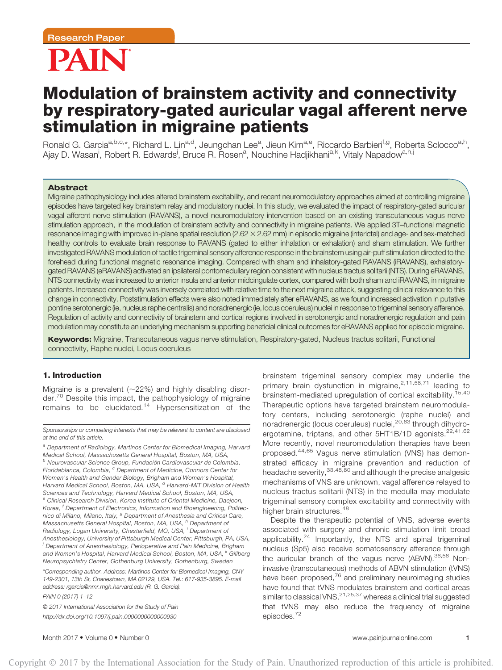

# Modulation of brainstem activity and connectivity by respiratory-gated auricular vagal afferent nerve stimulation in migraine patients

Ronald G. Garcia<sup>a,b,c,</sup>\*, Richard L. Lin<sup>a,d</sup>, Jeungchan Lee<sup>a</sup>, Jieun Kim<sup>a,e</sup>, Riccardo Barbieri<sup>f,g</sup>, Roberta Sclocco<sup>a,h</sup>, Ajay D. Wasan<sup>i</sup>, Robert R. Edwards<sup>i</sup>, Bruce R. Rosen<sup>a</sup>, Nouchine Hadjikhani<sup>a,k</sup>, Vitaly Napadow<sup>a,h,j</sup>

#### Abstract

Migraine pathophysiology includes altered brainstem excitability, and recent neuromodulatory approaches aimed at controlling migraine episodes have targeted key brainstem relay and modulatory nuclei. In this study, we evaluated the impact of respiratory-gated auricular vagal afferent nerve stimulation (RAVANS), a novel neuromodulatory intervention based on an existing transcutaneous vagus nerve stimulation approach, in the modulation of brainstem activity and connectivity in migraine patients. We applied 3T–functional magnetic resonance imaging with improved in-plane spatial resolution  $(2.62 \times 2.62$  mm) in episodic migraine (interictal) and age- and sex-matched healthy controls to evaluate brain response to RAVANS (gated to either inhalation or exhalation) and sham stimulation. We further investigated RAVANS modulation of tactile trigeminal sensory afference response in the brainstem using air-puff stimulation directed to the forehead during functional magnetic resonance imaging. Compared with sham and inhalatory-gated RAVANS (iRAVANS), exhalatorygated RAVANS (eRAVANS) activated an ipsilateral pontomedullary region consistent with nucleus tractus solitarii (NTS). During eRAVANS, NTS connectivity was increased to anterior insula and anterior midcingulate cortex, compared with both sham and iRAVANS, in migraine patients. Increased connectivity was inversely correlated with relative time to the next migraine attack, suggesting clinical relevance to this change in connectivity. Poststimulation effects were also noted immediately after eRAVANS, as we found increased activation in putative pontine serotonergic (ie, nucleus raphe centralis) and noradrenergic (ie, locus coeruleus) nuclei in response to trigeminal sensory afference. Regulation of activity and connectivity of brainstem and cortical regions involved in serotonergic and noradrenergic regulation and pain modulation may constitute an underlying mechanism supporting beneficial clinical outcomes for eRAVANS applied for episodic migraine.

Keywords: Migraine, Transcutaneous vagus nerve stimulation, Respiratory-gated, Nucleus tractus solitarii, Functional connectivity, Raphe nuclei, Locus coeruleus

#### 1. Introduction

Migraine is a prevalent  $(-22%)$  and highly disabling disorder.<sup>70</sup> Despite this impact, the pathophysiology of migraine remains to be elucidated.<sup>14</sup> Hypersensitization of the

a Department of Radiology, Martinos Center for Biomedical Imaging, Harvard Medical School, Massachusetts General Hospital, Boston, MA, USA,  $b$  Neurovascular Science Group, Fundación Cardiovascular de Colombia, Floridablanca, Colombia, <sup>c</sup> Department of Medicine, Connors Center for Women's Health and Gender Biology, Brigham and Women's Hospital, Harvard Medical School, Boston, MA, USA, <sup>d</sup> Harvard-MIT Division of Health Sciences and Technology, Harvard Medical School, Boston, MA, USA, e Clinical Research Division, Korea Institute of Oriental Medicine, Daejeon, Korea, <sup>f</sup> Department of Electronics, Information and Bioengineering, Politecnico di Milano, Milano, Italy, <sup>g</sup> Department of Anesthesia and Critical Care, Massachusetts General Hospital, Boston, MA, USA, <sup>h</sup> Department of Radiology, Logan University, Chesterfield, MO, USA, <sup>i</sup> Department of Anesthesiology, University of Pittsburgh Medical Center, Pittsburgh, PA, USA, j <sup>J</sup> Department of Anesthesiology, Perioperative and Pain Medicine, Brigham and Women's Hospital, Harvard Medical School, Boston, MA, USA, <sup>k</sup> Gillberg Neuropsychiatry Center, Gothenburg University, Gothenburg, Sweden

\*Corresponding author. Address: Martinos Center for Biomedical Imaging, CNY 149-2301, 13th St, Charlestown, MA 02129, USA. Tel.: 617-935-3895. E-mail address: [rgarcia@nmr.mgh.harvard.edu](mailto:rgarcia@nmr.mgh.harvard.edu) (R. G. Garcia).

PAIN 0 (2017) 1–12

© 2017 International Association for the Study of Pain <http://dx.doi.org/10.1097/j.pain.0000000000000930>

brainstem trigeminal sensory complex may underlie the primary brain dysfunction in migraine,<sup>2,11,58,71</sup> leading to brainstem-mediated upregulation of cortical excitability.<sup>15,40</sup> Therapeutic options have targeted brainstem neuromodulatory centers, including serotonergic (raphe nuclei) and noradrenergic (locus coeruleus) nuclei,<sup>20,63</sup> through dihydroergotamine, triptans, and other 5HT1B/1D agonists.<sup>22,41,62</sup> More recently, novel neuromodulation therapies have been proposed.44,65 Vagus nerve stimulation (VNS) has demonstrated efficacy in migraine prevention and reduction of headache severity,<sup>33,48,80</sup> and although the precise analgesic mechanisms of VNS are unknown, vagal afference relayed to nucleus tractus solitarii (NTS) in the medulla may modulate trigeminal sensory complex excitability and connectivity with higher brain structures. <sup>48</sup>

Despite the therapeutic potential of VNS, adverse events associated with surgery and chronic stimulation limit broad applicability.<sup>24</sup> Importantly, the NTS and spinal trigeminal nucleus (Sp5) also receive somatosensory afference through the auricular branch of the vagus nerve (ABVN). 36,56 Noninvasive (transcutaneous) methods of ABVN stimulation (tVNS) have been proposed,<sup>76</sup> and preliminary neuroimaging studies have found that tVNS modulates brainstem and cortical areas similar to classical VNS,  $21,25,37$  whereas a clinical trial suggested that tVNS may also reduce the frequency of migraine episodes.<sup>72</sup>

Sponsorships or competing interests that may be relevant to content are disclosed at the end of this article.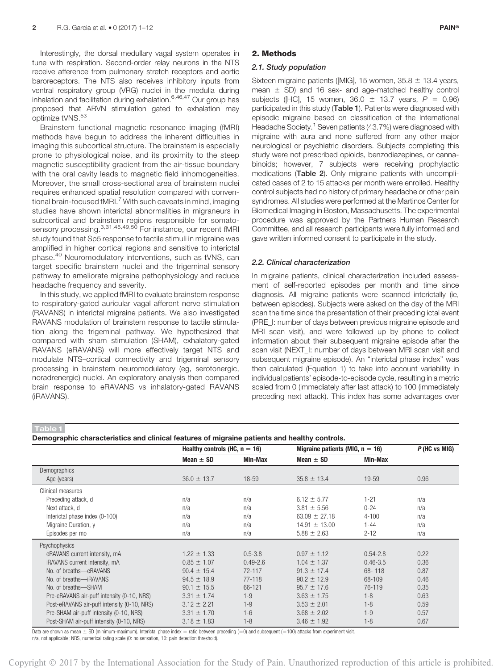Interestingly, the dorsal medullary vagal system operates in tune with respiration. Second-order relay neurons in the NTS receive afference from pulmonary stretch receptors and aortic baroreceptors. The NTS also receives inhibitory inputs from ventral respiratory group (VRG) nuclei in the medulla during inhalation and facilitation during exhalation.6,46,47 Our group has proposed that ABVN stimulation gated to exhalation may optimize tVNS.<sup>53</sup>

Brainstem functional magnetic resonance imaging (fMRI) methods have begun to address the inherent difficulties in imaging this subcortical structure. The brainstem is especially prone to physiological noise, and its proximity to the steep magnetic susceptibility gradient from the air-tissue boundary with the oral cavity leads to magnetic field inhomogeneities. Moreover, the small cross-sectional area of brainstem nuclei requires enhanced spatial resolution compared with conventional brain-focused fMRI. $^7$  With such caveats in mind, imaging studies have shown interictal abnormalities in migraneurs in subcortical and brainstem regions responsible for somatosensory processing. 3,31,45,49,50 For instance, our recent fMRI study found that Sp5 response to tactile stimuli in migraine was amplified in higher cortical regions and sensitive to interictal phase.<sup>40</sup> Neuromodulatory interventions, such as tVNS, can target specific brainstem nuclei and the trigeminal sensory pathway to ameliorate migraine pathophysiology and reduce headache frequency and severity.

In this study, we applied fMRI to evaluate brainstem response to respiratory-gated auricular vagal afferent nerve stimulation (RAVANS) in interictal migraine patients. We also investigated RAVANS modulation of brainstem response to tactile stimulation along the trigeminal pathway. We hypothesized that compared with sham stimulation (SHAM), exhalatory-gated RAVANS (eRAVANS) will more effectively target NTS and modulate NTS–cortical connectivity and trigeminal sensory processing in brainstem neuromodulatory (eg, serotonergic, noradrenergic) nuclei. An exploratory analysis then compared brain response to eRAVANS vs inhalatory-gated RAVANS (iRAVANS).

#### 2. Methods

#### 2.1. Study population

Sixteen migraine patients ([MIG], 15 women, 35.8  $\pm$  13.4 years, mean  $\pm$  SD) and 16 sex- and age-matched healthy control subjects ([HC], 15 women, 36.0  $\pm$  13.7 years,  $P = 0.96$ ) participated in this study (Table 1). Patients were diagnosed with episodic migraine based on classification of the International Headache Society.<sup>1</sup> Seven patients (43.7%) were diagnosed with migraine with aura and none suffered from any other major neurological or psychiatric disorders. Subjects completing this study were not prescribed opioids, benzodiazepines, or cannabinoids; however, 7 subjects were receiving prophylactic medications (Table 2). Only migraine patients with uncomplicated cases of 2 to 15 attacks per month were enrolled. Healthy control subjects had no history of primary headache or other pain syndromes. All studies were performed at the Martinos Center for Biomedical Imaging in Boston, Massachusetts. The experimental procedure was approved by the Partners Human Research Committee, and all research participants were fully informed and gave written informed consent to participate in the study.

#### 2.2. Clinical characterization

In migraine patients, clinical characterization included assessment of self-reported episodes per month and time since diagnosis. All migraine patients were scanned interictally (ie, between episodes). Subjects were asked on the day of the MRI scan the time since the presentation of their preceding ictal event (PRE\_I: number of days between previous migraine episode and MRI scan visit), and were followed up by phone to collect information about their subsequent migraine episode after the scan visit (NEXT\_I: number of days between MRI scan visit and subsequent migraine episode). An "interictal phase index" was then calculated (Equation 1) to take into account variability in individual patients' episode-to-episode cycle, resulting in a metric scaled from 0 (immediately after last attack) to 100 (immediately preceding next attack). This index has some advantages over

#### Table 1

|  | Demographic characteristics and clinical features of migraine patients and healthy controls. |  |  |  |
|--|----------------------------------------------------------------------------------------------|--|--|--|
|--|----------------------------------------------------------------------------------------------|--|--|--|

|                                             | Healthy controls (HC, $n = 16$ ) |              | Migraine patients (MIG, $n = 16$ ) | $P$ (HC vs MIG) |      |
|---------------------------------------------|----------------------------------|--------------|------------------------------------|-----------------|------|
|                                             | Mean $\pm$ SD                    | Min-Max      | Mean $\pm$ SD                      | Min-Max         |      |
| Demographics                                |                                  |              |                                    |                 |      |
| Age (years)                                 | $36.0 \pm 13.7$                  | 18-59        | $35.8 \pm 13.4$                    | 19-59           | 0.96 |
| Clinical measures                           |                                  |              |                                    |                 |      |
| Preceding attack, d                         | n/a                              | n/a          | $6.12 \pm 5.77$                    | $1 - 21$        | n/a  |
| Next attack, d                              | n/a                              | n/a          | $3.81 \pm 5.56$                    | $0 - 24$        | n/a  |
| Interictal phase index (0-100)              | n/a                              | n/a          | $63.09 \pm 27.18$                  | $4 - 100$       | n/a  |
| Migraine Duration, y                        | n/a                              | n/a          | $14.91 \pm 13.00$                  | $1 - 44$        | n/a  |
| Episodes per mo                             | n/a                              | n/a          | $5.88 \pm 2.63$                    | $2 - 12$        | n/a  |
| Psychophysics                               |                                  |              |                                    |                 |      |
| eRAVANS current intensity, mA               | $1.22 \pm 1.33$                  | $0.5 - 3.8$  | $0.97 \pm 1.12$                    | $0.54 - 2.8$    | 0.22 |
| iRAVANS current intensity, mA               | $0.85 \pm 1.07$                  | $0.49 - 2.6$ | $1.04 \pm 1.37$                    | $0.46 - 3.5$    | 0.36 |
| No. of breaths-eRAVANS                      | $90.4 \pm 15.4$                  | 72-117       | $91.3 \pm 17.4$                    | 68-118          | 0.87 |
| No. of breaths-iRAVANS                      | $94.5 \pm 18.9$                  | 77-118       | $90.2 \pm 12.9$                    | 68-109          | 0.46 |
| No. of breaths-SHAM                         | $90.1 \pm 15.5$                  | 66-121       | $95.7 \pm 17.6$                    | 76-119          | 0.35 |
| Pre-eRAVANS air-puff intensity (0-10, NRS)  | $3.31 \pm 1.74$                  | $1 - 9$      | $3.63 \pm 1.75$                    | $1 - 8$         | 0.63 |
| Post-eRAVANS air-puff intensity (0-10, NRS) | $3.12 \pm 2.21$                  | $1 - 9$      | $3.53 \pm 2.01$                    | $1 - 8$         | 0.59 |
| Pre-SHAM air-puff intensity (0-10, NRS)     | $3.31 \pm 1.70$                  | $1 - 6$      | $3.68 \pm 2.02$                    | $1 - 9$         | 0.57 |
| Post-SHAM air-puff intensity (0-10, NRS)    | $3.18 \pm 1.83$                  | $1 - 8$      | $3.46 \pm 1.92$                    | $1 - 8$         | 0.67 |

Data are shown as mean  $\pm$  SD (minimum-maximum). Interictal phase index = ratio between preceding (=0) and subsequent (=100) attacks from experiment visit. n/a, not applicable; NRS, numerical rating scale (0: no sensation, 10: pain detection threshold).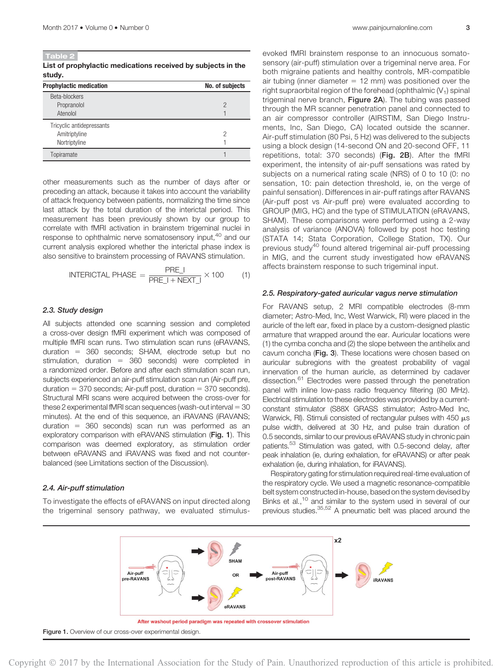Table 2 List of prophylactic medications received by subjects in the study.

| <b>Prophylactic medication</b>                              | No. of subjects |
|-------------------------------------------------------------|-----------------|
| Beta-blockers<br>Propranolol<br>Atenolol                    | $\mathcal{P}$   |
| Tricyclic antidepressants<br>Amitriptyline<br>Nortriptyline | 2               |
| Topiramate                                                  |                 |

other measurements such as the number of days after or preceding an attack, because it takes into account the variability of attack frequency between patients, normalizing the time since last attack by the total duration of the interictal period. This measurement has been previously shown by our group to correlate with fMRI activation in brainstem trigeminal nuclei in response to ophthalmic nerve somatosensory input,<sup>40</sup> and our current analysis explored whether the interictal phase index is also sensitive to brainstem processing of RAVANS stimulation.

$$
INTERICTAL PHASE = \frac{PRE\_I}{PRE\_I + NEXT\_I} \times 100 \tag{1}
$$

#### 2.3. Study design

All subjects attended one scanning session and completed a cross-over design fMRI experiment which was composed of multiple fMRI scan runs. Two stimulation scan runs (eRAVANS, duration =  $360$  seconds; SHAM, electrode setup but no stimulation, duration  $=$  360 seconds) were completed in a randomized order. Before and after each stimulation scan run, subjects experienced an air-puff stimulation scan run (Air-puff pre, duration  $=$  370 seconds; Air-puff post, duration  $=$  370 seconds). Structural MRI scans were acquired between the cross-over for these 2 experimental fMRI scan sequences (wash-out interval  $= 30$ minutes). At the end of this sequence, an iRAVANS (iRAVANS; duration  $=$  360 seconds) scan run was performed as an exploratory comparison with eRAVANS stimulation (Fig. 1). This comparison was deemed exploratory, as stimulation order between eRAVANS and iRAVANS was fixed and not counterbalanced (see Limitations section of the Discussion).

#### 2.4. Air-puff stimulation

To investigate the effects of eRAVANS on input directed along the trigeminal sensory pathway, we evaluated stimulus-

evoked fMRI brainstem response to an innocuous somatosensory (air-puff) stimulation over a trigeminal nerve area. For both migraine patients and healthy controls, MR-compatible air tubing (inner diameter  $= 12$  mm) was positioned over the right supraorbital region of the forehead (ophthalmic  $(V_1)$  spinal trigeminal nerve branch, Figure 2A). The tubing was passed through the MR scanner penetration panel and connected to an air compressor controller (AIRSTIM, San Diego Instruments, Inc, San Diego, CA) located outside the scanner. Air-puff stimulation (80 Psi, 5 Hz) was delivered to the subjects using a block design (14-second ON and 20-second OFF, 11 repetitions, total: 370 seconds) (Fig. 2B). After the fMRI experiment, the intensity of air-puff sensations was rated by subjects on a numerical rating scale (NRS) of 0 to 10 (0: no sensation, 10: pain detection threshold, ie, on the verge of painful sensation). Differences in air-puff ratings after RAVANS (Air-puff post vs Air-puff pre) were evaluated according to GROUP (MIG, HC) and the type of STIMULATION (eRAVANS, SHAM). These comparisons were performed using a 2-way analysis of variance (ANOVA) followed by post hoc testing (STATA 14; Stata Corporation, College Station, TX). Our previous study<sup>40</sup> found altered trigeminal air-puff processing in MIG, and the current study investigated how eRAVANS affects brainstem response to such trigeminal input.

#### 2.5. Respiratory-gated auricular vagus nerve stimulation

For RAVANS setup, 2 MRI compatible electrodes (8-mm diameter; Astro-Med, Inc, West Warwick, RI) were placed in the auricle of the left ear, fixed in place by a custom-designed plastic armature that wrapped around the ear. Auricular locations were (1) the cymba concha and (2) the slope between the antihelix and cavum concha (Fig. 3). These locations were chosen based on auricular subregions with the greatest probability of vagal innervation of the human auricle, as determined by cadaver dissection.<sup>61</sup> Electrodes were passed through the penetration panel with inline low-pass radio frequency filtering (80 MHz). Electrical stimulation to these electrodes was provided by a currentconstant stimulator (S88X GRASS stimulator; Astro-Med Inc, Warwick, RI). Stimuli consisted of rectangular pulses with 450  $\mu$ s pulse width, delivered at 30 Hz, and pulse train duration of 0.5 seconds, similar to our previous eRAVANS study in chronic pain patients.<sup>53</sup> Stimulation was gated, with 0.5-second delay, after peak inhalation (ie, during exhalation, for eRAVANS) or after peak exhalation (ie, during inhalation, for iRAVANS).

Respiratory gating for stimulation required real-time evaluation of the respiratory cycle. We used a magnetic resonance-compatible belt system constructed in-house, based on the system devised by Binks et al.,<sup>10</sup> and similar to the system used in several of our previous studies.<sup>35,52</sup> A pneumatic belt was placed around the

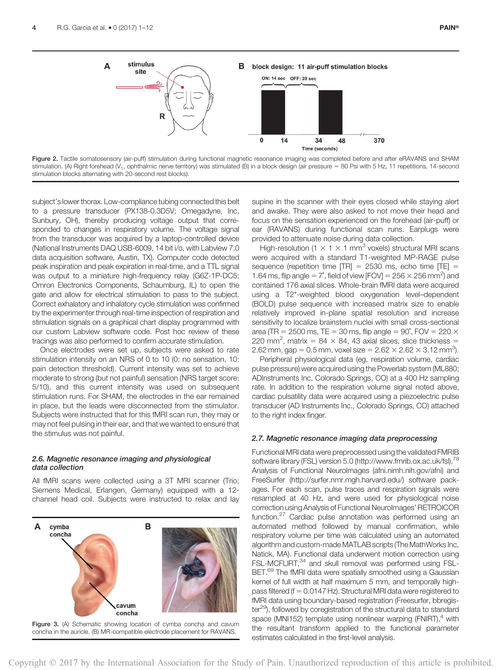

Figure 2. Tactile somatosensory (air-puff) stimulation during functional magnetic resonance imaging was completed before and after eRAVANS and SHAM stimulation. (A) Right forehead (V<sub>1</sub>, ophthalmic nerve territory) was stimulated (B) in a block design (air pressure = 80 Psi with 5 Hz, 11 repetitions, 14-second stimulation blocks alternating with 20-second rest blocks).

subject's lower thorax. Low-compliance tubing connected this belt to a pressure transducer (PX138-0.3D5V; Omegadyne, Inc, Sunbury, OH), thereby producing voltage output that corresponded to changes in respiratory volume. The voltage signal from the transducer was acquired by a laptop-controlled device (National Instruments DAQ USB-6009, 14 bit i/o, with Labview 7.0 data acquisition software, Austin, TX). Computer code detected peak inspiration and peak expiration in real-time, and a TTL signal was output to a miniature high-frequency relay (G6Z-1P-DC5; Omron Electronics Components, Schaumburg, IL) to open the gate and allow for electrical stimulation to pass to the subject. Correct exhalatory and inhalatory cycle stimulation was confirmed by the experimenter through real-time inspection of respiration and stimulation signals on a graphical chart display programmed with our custom Labview software code. Post hoc review of these tracings was also performed to confirm accurate stimulation.

Once electrodes were set up, subjects were asked to rate stimulation intensity on an NRS of 0 to 10 (0: no sensation, 10: pain detection threshold). Current intensity was set to achieve moderate to strong (but not painful) sensation (NRS target score: 5/10), and this current intensity was used on subsequent stimulation runs. For SHAM, the electrodes in the ear remained in place, but the leads were disconnected from the stimulator. Subjects were instructed that for this fMRI scan run, they may or may not feel pulsing in their ear, and that we wanted to ensure that the stimulus was not painful.

#### 2.6. Magnetic resonance imaging and physiological data collection

All fMRI scans were collected using a 3T MRI scanner (Trio; Siemens Medical, Erlangen, Germany) equipped with a 12 channel head coil. Subjects were instructed to relax and lay



supine in the scanner with their eyes closed while staying alert and awake. They were also asked to not move their head and focus on the sensation experienced on the forehead (air-puff) or ear (RAVANS) during functional scan runs. Earplugs were provided to attenuate noise during data collection.

High-resolution (1  $\times$  1  $\times$  1 mm<sup>3</sup> voxels) structural MRI scans were acquired with a standard T1-weighted MP-RAGE pulse sequence (repetition time  $|TR| = 2530$  ms, echo time  $|TE| =$ 1.64 ms, flip angle =  $7^\circ$ , field of view [FOV] =  $256 \times 256$  mm<sup>2</sup>) and contained 176 axial slices. Whole-brain fMRI data were acquired using a T2\*-weighted blood oxygenation level–dependent (BOLD) pulse sequence with increased matrix size to enable relatively improved in-plane spatial resolution and increase sensitivity to localize brainstem nuclei with small cross-sectional area (TR = 2500 ms, TE = 30 ms, flip angle =  $90^\circ$ , FOV = 220  $\times$ 220 mm<sup>2</sup>, matrix = 84  $\times$  84, 43 axial slices, slice thickness = 2.62 mm, gap = 0.5 mm, voxel size = 2.62  $\times$  2.62  $\times$  3.12 mm<sup>3</sup>).

Peripheral physiological data (eg, respiration volume, cardiac pulse pressure) were acquired using the Powerlab system (ML880; ADInstruments Inc, Colorado Springs, CO) at a 400 Hz sampling rate. In addition to the respiration volume signal noted above, cardiac pulsatility data were acquired using a piezoelectric pulse transducer (AD Instruments Inc., Colorado Springs, CO) attached to the right index finger.

#### 2.7. Magnetic resonance imaging data preprocessing

Functional MRI data were preprocessed using the validated FMRIB software library (FSL) version 5.0 [\(http://www.fmrib.ox.ac.uk/fsl](http://www.fmrib.ox.ac.uk/fsl)),<sup>78</sup> Analysis of Functional NeuroImages [\(afni.nimh.nih.gov/afni\)](http://afni.nimh.nih.gov/afni) and FreeSurfer ([http://surfer.nmr.mgh.harvard.edu/\)](http://surfer.nmr.mgh.harvard.edu/) software packages. For each scan, pulse traces and respiration signals were resampled at 40 Hz, and were used for physiological noise correction using Analysis of Functional NeuroImages' RETROICOR function.27 Cardiac pulse annotation was performed using an automated method followed by manual confirmation, while respiratory volume per time was calculated using an automated algorithm and custom-made MATLAB scripts (The MathWorks Inc, Natick, MA). Functional data underwent motion correction using FSL-MCFLIRT,<sup>34</sup> and skull removal was performed using FSL-BET.<sup>69</sup> The fMRI data were spatially smoothed using a Gaussian kernel of full width at half maximum 5 mm, and temporally highpass filtered (f =  $0.0147$  Hz). Structural MRI data were registered to fMRI data using boundary-based registration (Freesurfer, bbregis $ter<sup>29</sup>$ , followed by coregistration of the structural data to standard space (MNI152) template using nonlinear warping (FNIRT), $4$  with the resultant transform applied to the functional parameter estimates calculated in the first-level analysis.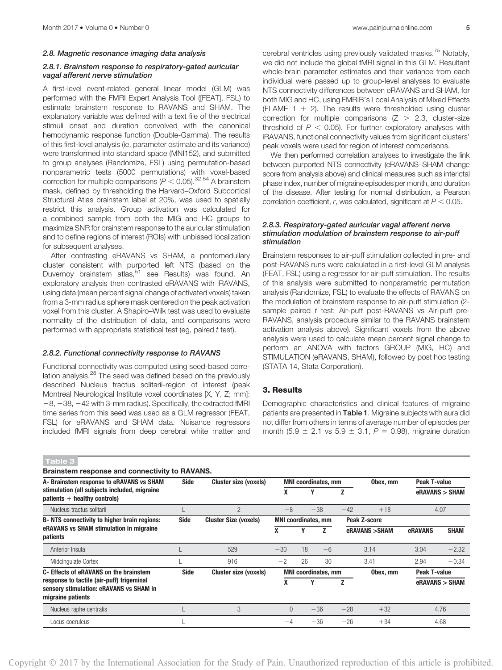#### 2.8.1. Brainstem response to respiratory-gated auricular vagal afferent nerve stimulation

A first-level event-related general linear model (GLM) was performed with the FMRI Expert Analysis Tool ([FEAT], FSL) to estimate brainstem response to RAVANS and SHAM. The explanatory variable was defined with a text file of the electrical stimuli onset and duration convolved with the canonical hemodynamic response function (Double-Gamma). The results of this first-level analysis (ie, parameter estimate and its variance) were transformed into standard space (MNI152), and submitted to group analyses (Randomize, FSL) using permutation-based nonparametric tests (5000 permutations) with voxel-based correction for multiple comparisons ( $P < 0.05$ ).<sup>32,54</sup> A brainstem mask, defined by thresholding the Harvard–Oxford Subcortical Structural Atlas brainstem label at 20%, was used to spatially restrict this analysis. Group activation was calculated for a combined sample from both the MIG and HC groups to maximize SNR for brainstem response to the auricular stimulation and to define regions of interest (ROIs) with unbiased localization for subsequent analyses.

After contrasting eRAVANS vs SHAM, a pontomedullary cluster consistent with purported left NTS (based on the Duvernoy brainstem atlas,<sup>51</sup> see Results) was found. An exploratory analysis then contrasted eRAVANS with iRAVANS, using data (mean percent signal change of activated voxels) taken from a 3-mm radius sphere mask centered on the peak activation voxel from this cluster. A Shapiro–Wilk test was used to evaluate normality of the distribution of data, and comparisons were performed with appropriate statistical test (eg, paired t test).

#### 2.8.2. Functional connectivity response to RAVANS

Functional connectivity was computed using seed-based correlation analysis.<sup>28</sup> The seed was defined based on the previously described Nucleus tractus solitarii-region of interest (peak Montreal Neurological Institute voxel coordinates [X, Y, Z; mm]:  $-8$ ,  $-38$ ,  $-42$  with 3-mm radius). Specifically, the extracted fMRI time series from this seed was used as a GLM regressor (FEAT, FSL) for eRAVANS and SHAM data. Nuisance regressors included fMRI signals from deep cerebral white matter and cerebral ventricles using previously validated masks.<sup>75</sup> Notably, we did not include the global fMRI signal in this GLM. Resultant whole-brain parameter estimates and their variance from each individual were passed up to group-level analyses to evaluate NTS connectivity differences between eRAVANS and SHAM, for both MIG and HC, using FMRIB's Local Analysis of Mixed Effects (FLAME 1  $+$  2). The results were thresholded using cluster correction for multiple comparisons  $(Z > 2.3$ , cluster-size threshold of  $P < 0.05$ ). For further exploratory analyses with iRAVANS, functional connectivity values from significant clusters' peak voxels were used for region of interest comparisons.

We then performed correlation analyses to investigate the link between purported NTS connectivity (eRAVANS–SHAM change score from analysis above) and clinical measures such as interictal phase index, number of migraine episodes per month, and duration of the disease. After testing for normal distribution, a Pearson correlation coefficient, r, was calculated, significant at  $P < 0.05$ .

#### 2.8.3. Respiratory-gated auricular vagal afferent nerve stimulation modulation of brainstem response to air-puff stimulation

Brainstem responses to air-puff stimulation collected in pre- and post-RAVANS runs were calculated in a first-level GLM analysis (FEAT, FSL) using a regressor for air-puff stimulation. The results of this analysis were submitted to nonparametric permutation analysis (Randomize, FSL) to evaluate the effects of RAVANS on the modulation of brainstem response to air-puff stimulation (2 sample paired t test: Air-puff post-RAVANS vs Air-puff pre-RAVANS, analysis procedure similar to the RAVANS brainstem activation analysis above). Significant voxels from the above analysis were used to calculate mean percent signal change to perform an ANOVA with factors GROUP (MIG, HC) and STIMULATION (eRAVANS, SHAM), followed by post hoc testing (STATA 14, Stata Corporation).

### 3. Results

Demographic characteristics and clinical features of migraine patients are presented in Table 1. Migraine subjects with aura did not differ from others in terms of average number of episodes per month (5.9  $\pm$  2.1 vs 5.9  $\pm$  3.1, P = 0.98), migraine duration

| Brainstem response and connectivity to RAVANS.                                                            |             |                              |                                            |                         |                |              |                |                     |                |  |
|-----------------------------------------------------------------------------------------------------------|-------------|------------------------------|--------------------------------------------|-------------------------|----------------|--------------|----------------|---------------------|----------------|--|
| A- Brainstem response to eRAVANS vs SHAM                                                                  | Side        | <b>Cluster size (voxels)</b> | <b>MNI</b> coordinates, mm                 |                         | Obex, mm       | Peak T-value |                |                     |                |  |
| stimulation (all subjects included, migraine<br>$patients + healthy controls)$                            |             |                              |                                            |                         |                | Z            |                | eRAVANS > SHAM      |                |  |
| Nucleus tractus solitarii                                                                                 |             | $\overline{2}$               | $-8$                                       | $-38$<br>$-42$<br>$+18$ |                |              |                |                     | 4.07           |  |
| B-NTS connectivity to higher brain regions:                                                               | <b>Side</b> | <b>Cluster Size (voxels)</b> | Peak Z-score<br><b>MNI</b> coordinates, mm |                         |                |              |                |                     |                |  |
| eRAVANS vs SHAM stimulation in migraine<br>patients                                                       |             |                              |                                            | v                       | $\overline{ }$ |              | eRAVANS > SHAM | <b>eRAVANS</b>      | <b>SHAM</b>    |  |
| Anterior Insula                                                                                           |             | 529                          | $-30$                                      | 18                      | $-6$           |              | 3.14           | 3.04                | $-2.32$        |  |
| Midcingulate Cortex                                                                                       |             | 916                          | $-2$                                       | 26                      | 30             |              | 3.41           | 2.94                | $-0.34$        |  |
| C- Effects of eRAVANS on the brainstem                                                                    | <b>Side</b> | <b>Cluster size (voxels)</b> | <b>MNI</b> coordinates, mm                 |                         |                | Obex, mm     |                | <b>Peak T-value</b> |                |  |
| response to tactile (air-puff) trigeminal<br>sensory stimulation: eRAVANS vs SHAM in<br>migraine patients |             |                              | X                                          | γ                       |                | Z            |                |                     | eRAVANS > SHAM |  |
| Nucleus raphe centralis                                                                                   |             | 3                            | $\Omega$                                   |                         | $-36$          | $-28$        | $+32$          | 4.76                |                |  |
| Locus coeruleus                                                                                           |             |                              | $-4$                                       |                         | $-36$          | $-26$        | $+34$          | 4.68                |                |  |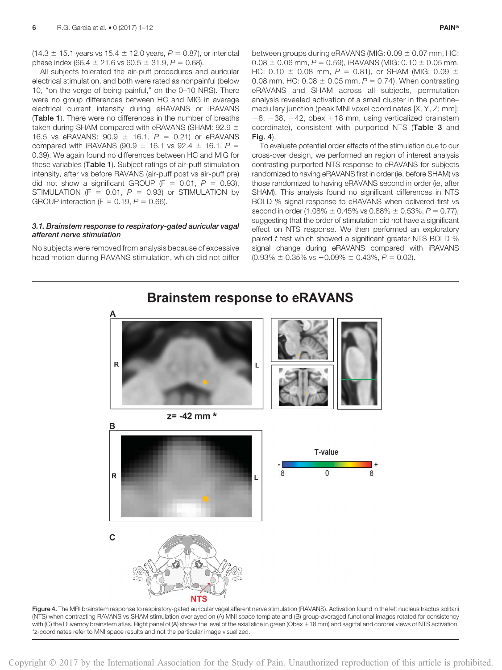$(14.3 \pm 15.1 \text{ years}$  vs  $15.4 \pm 12.0 \text{ years}$ ,  $P = 0.87$ ), or interictal phase index (66.4  $\pm$  21.6 vs 60.5  $\pm$  31.9, P = 0.68).

All subjects tolerated the air-puff procedures and auricular electrical stimulation, and both were rated as nonpainful (below 10, "on the verge of being painful," on the 0–10 NRS). There were no group differences between HC and MIG in average electrical current intensity during eRAVANS or iRAVANS (Table 1). There were no differences in the number of breaths taken during SHAM compared with eRAVANS (SHAM: 92.9  $\pm$ 16.5 vs eRAVANS:  $90.9 \pm 16.1$ ,  $P = 0.21$ ) or eRAVANS compared with iRAVANS (90.9  $\pm$  16.1 vs 92.4  $\pm$  16.1, P = 0.39). We again found no differences between HC and MIG for these variables (Table 1). Subject ratings of air-puff stimulation intensity, after vs before RAVANS (air-puff post vs air-puff pre) did not show a significant GROUP (F = 0.01,  $P = 0.93$ ), STIMULATION (F = 0.01,  $P = 0.93$ ) or STIMULATION by GROUP interaction (F =  $0.19$ ,  $P = 0.66$ ).

#### 3.1. Brainstem response to respiratory-gated auricular vagal afferent nerve stimulation

No subjects were removed from analysis because of excessive head motion during RAVANS stimulation, which did not differ between groups during eRAVANS (MIG:  $0.09 \pm 0.07$  mm, HC:  $0.08 \pm 0.06$  mm,  $P = 0.59$ ), iRAVANS (MIG: 0.10  $\pm$  0.05 mm, HC: 0.10  $\pm$  0.08 mm, P = 0.81), or SHAM (MIG: 0.09  $\pm$ 0.08 mm, HC:  $0.08 \pm 0.05$  mm,  $P = 0.74$ ). When contrasting eRAVANS and SHAM across all subjects, permutation analysis revealed activation of a small cluster in the pontine– medullary junction (peak MNI voxel coordinates [X, Y, Z; mm]:  $-8$ ,  $-38$ ,  $-42$ , obex  $+18$  mm, using verticalized brainstem coordinate), consistent with purported NTS (Table 3 and Fig. 4).

To evaluate potential order effects of the stimulation due to our cross-over design, we performed an region of interest analysis contrasting purported NTS response to eRAVANS for subjects randomized to having eRAVANS first in order (ie, before SHAM) vs those randomized to having eRAVANS second in order (ie, after SHAM). This analysis found no significant differences in NTS BOLD % signal response to eRAVANS when delivered first vs second in order (1.08%  $\pm$  0.45% vs 0.88%  $\pm$  0.53%, P = 0.77), suggesting that the order of stimulation did not have a significant effect on NTS response. We then performed an exploratory paired t test which showed a significant greater NTS BOLD % signal change during eRAVANS compared with iRAVANS  $(0.93\% \pm 0.35\% \text{ vs } -0.09\% \pm 0.43\%, P = 0.02)$ .



Figure 4. The MRI brainstem response to respiratory-gated auricular vagal afferent nerve stimulation (RAVANS). Activation found in the left nucleus tractus solitarii (NTS) when contrasting RAVANS vs SHAM stimulation overlayed on (A) MNI space template and (B) group-averaged functional images rotated for consistency with (C) the Duvernoy brainstem atlas. Right panel of (A) shows the level of the axial slice in green (Obex +18 mm) and sagittal and coronal views of NTS activation. \*z-coordinates refer to MNI space results and not the particular image visualized.

Copyright 2017 by the International Association for the Study of Pain. Unauthorized reproduction of this article is prohibited.

### **Brainstem response to eRAVANS**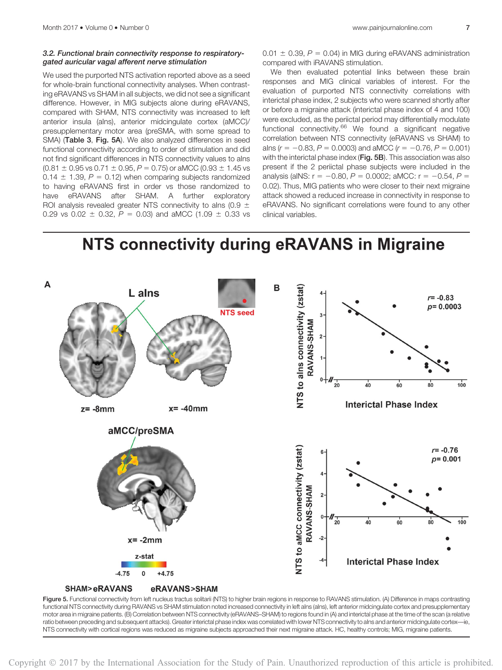#### 3.2. Functional brain connectivity response to respiratorygated auricular vagal afferent nerve stimulation

We used the purported NTS activation reported above as a seed for whole-brain functional connectivity analyses. When contrasting eRAVANS vs SHAM in all subjects, we did not see a significant difference. However, in MIG subjects alone during eRAVANS, compared with SHAM, NTS connectivity was increased to left anterior insula (aIns), anterior midcingulate cortex (aMCC)/ presupplementary motor area (preSMA, with some spread to SMA) (Table 3, Fig. 5A). We also analyzed differences in seed functional connectivity according to order of stimulation and did not find significant differences in NTS connectivity values to aIns  $(0.81 \pm 0.95 \text{ vs } 0.71 \pm 0.95, P = 0.75)$  or aMCC  $(0.93 \pm 1.45 \text{ vs } 0.95)$ 0.14  $\pm$  1.39, P = 0.12) when comparing subjects randomized to having eRAVANS first in order vs those randomized to have eRAVANS after SHAM. A further exploratory ROI analysis revealed greater NTS connectivity to alns (0.9  $\pm$ 0.29 vs 0.02  $\pm$  0.32, P = 0.03) and aMCC (1.09  $\pm$  0.33 vs  $0.01 \pm 0.39$ ,  $P = 0.04$ ) in MIG during eRAVANS administration compared with iRAVANS stimulation.

We then evaluated potential links between these brain responses and MIG clinical variables of interest. For the evaluation of purported NTS connectivity correlations with interictal phase index, 2 subjects who were scanned shortly after or before a migraine attack (interictal phase index of 4 and 100) were excluded, as the periictal period may differentially modulate functional connectivity. $66$  We found a significant negative correlation between NTS connectivity (eRAVANS vs SHAM) to alns ( $r = -0.83$ ,  $P = 0.0003$ ) and aMCC ( $r = -0.76$ ,  $P = 0.001$ ) with the interictal phase index (Fig. 5B). This association was also present if the 2 periictal phase subjects were included in the analysis (aINS:  $r = -0.80$ ,  $P = 0.0002$ ; aMCC:  $r = -0.54$ ,  $P =$ 0.02). Thus, MIG patients who were closer to their next migraine attack showed a reduced increase in connectivity in response to eRAVANS. No significant correlations were found to any other clinical variables.

## NTS connectivity during eRAVANS in Migraine

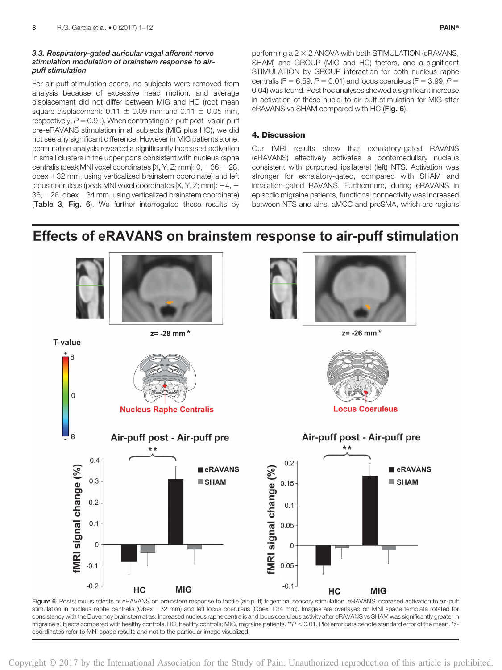#### 3.3. Respiratory-gated auricular vagal afferent nerve stimulation modulation of brainstem response to airpuff stimulation

For air-puff stimulation scans, no subjects were removed from analysis because of excessive head motion, and average displacement did not differ between MIG and HC (root mean square displacement:  $0.11 \pm 0.09$  mm and  $0.11 \pm 0.05$  mm, respectively,  $P = 0.91$ ). When contrasting air-puff post- vs air-puff pre-eRAVANS stimulation in all subjects (MIG plus HC), we did not see any significant difference. However in MIG patients alone, permutation analysis revealed a significantly increased activation in small clusters in the upper pons consistent with nucleus raphe centralis (peak MNI voxel coordinates [X, Y, Z; mm]:  $0, -36, -28,$ obex 132 mm, using verticalized brainstem coordinate) and left locus coeruleus (peak MNI voxel coordinates [X, Y, Z; mm]:  $-4$ ,  $36, -26,$  obex  $+34$  mm, using verticalized brainstem coordinate) (Table 3, Fig. 6). We further interrogated these results by

performing a  $2 \times 2$  ANOVA with both STIMULATION (eRAVANS, SHAM) and GROUP (MIG and HC) factors, and a significant STIMULATION by GROUP interaction for both nucleus raphe centralis (F = 6.59, P = 0.01) and locus coeruleus (F = 3.99, P = 0.04) was found. Post hoc analyses showed a significant increase in activation of these nuclei to air-puff stimulation for MIG after eRAVANS vs SHAM compared with HC (Fig. 6).

### 4. Discussion

Our fMRI results show that exhalatory-gated RAVANS (eRAVANS) effectively activates a pontomedullary nucleus consistent with purported ipsilateral (left) NTS. Activation was stronger for exhalatory-gated, compared with SHAM and inhalation-gated RAVANS. Furthermore, during eRAVANS in episodic migraine patients, functional connectivity was increased between NTS and aIns, aMCC and preSMA, which are regions

### Effects of eRAVANS on brainstem response to air-puff stimulation



Figure 6. Poststimulus effects of eRAVANS on brainstem response to tactile (air-puff) trigeminal sensory stimulation. eRAVANS increased activation to air-puff stimulation in nucleus raphe centralis (Obex 132 mm) and left locus coeruleus (Obex 134 mm). Images are overlayed on MNI space template rotated for consistency with the Duvernoy brainstem atlas. Increased nucleus raphe centralis and locus coeruleus activity after eRAVANS vs SHAM was significantly greater in migraine subjects compared with healthy controls. HC, healthy controls; MIG, migraine patients. \*\*P < 0.01. Plot error bars denote standard error of the mean. \*zcoordinates refer to MNI space results and not to the particular image visualized.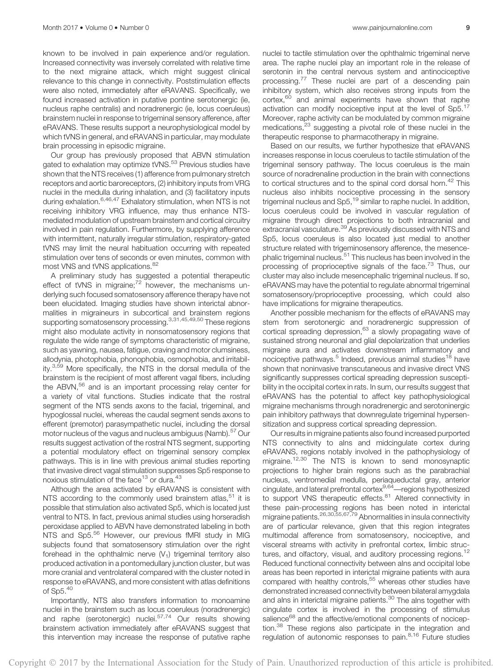known to be involved in pain experience and/or regulation. Increased connectivity was inversely correlated with relative time to the next migraine attack, which might suggest clinical relevance to this change in connectivity. Poststimulation effects were also noted, immediately after eRAVANS. Specifically, we found increased activation in putative pontine serotonergic (ie, nucleus raphe centralis) and noradrenergic (ie, locus coeruleus) brainstem nuclei in response to trigeminal sensory afference, after eRAVANS. These results support a neurophysiological model by which tVNS in general, and eRAVANS in particular, may modulate brain processing in episodic migraine.

Our group has previously proposed that ABVN stimulation gated to exhalation may optimize tVNS.<sup>53</sup> Previous studies have shown that the NTS receives (1) afference from pulmonary stretch receptors and aortic baroreceptors, (2) inhibitory inputs from VRG nuclei in the medulla during inhalation, and (3) facilitatory inputs during exhalation.<sup>6,46,47</sup> Exhalatory stimulation, when NTS is not receiving inhibitory VRG influence, may thus enhance NTSmediated modulation of upstream brainstem and cortical circuitry involved in pain regulation. Furthermore, by supplying afference with intermittent, naturally irregular stimulation, respiratory-gated tVNS may limit the neural habituation occurring with repeated stimulation over tens of seconds or even minutes, common with most VNS and tVNS applications.<sup>82</sup>

A preliminary study has suggested a potential therapeutic effect of tVNS in migraine;<sup>72</sup> however, the mechanisms underlying such focused somatosensory afference therapy have not been elucidated. Imaging studies have shown interictal abnormalities in migraineurs in subcortical and brainstem regions supporting somatosensory processing.<sup>3,31,45,49,50</sup> These regions might also modulate activity in nonsomatosensory regions that regulate the wide range of symptoms characteristic of migraine, such as yawning, nausea, fatigue, craving and motor clumsiness, allodynia, photophobia, phonophobia, osmophobia, and irritability.3,59 More specifically, the NTS in the dorsal medulla of the brainstem is the recipient of most afferent vagal fibers, including the ABVN, $56$  and is an important processing relay center for a variety of vital functions. Studies indicate that the rostral segment of the NTS sends axons to the facial, trigeminal, and hypoglossal nuclei, whereas the caudal segment sends axons to efferent (premotor) parasympathetic nuclei, including the dorsal motor nucleus of the vagus and nucleus ambiguus (Namb).<sup>57</sup> Our results suggest activation of the rostral NTS segment, supporting a potential modulatory effect on trigeminal sensory complex pathways. This is in line with previous animal studies reporting that invasive direct vagal stimulation suppresses Sp5 response to noxious stimulation of the face<sup>13</sup> or dura.<sup>43</sup>

Although the area activated by eRAVANS is consistent with NTS according to the commonly used brainstem atlas,<sup>51</sup> it is possible that stimulation also activated Sp5, which is located just ventral to NTS. In fact, previous animal studies using horseradish peroxidase applied to ABVN have demonstrated labeling in both NTS and Sp5.56 However, our previous fMRI study in MIG subjects found that somatosensory stimulation over the right forehead in the ophthalmic nerve  $(V_1)$  trigeminal territory also produced activation in a pontomedullary junction cluster, but was more cranial and ventrolateral compared with the cluster noted in response to eRAVANS, and more consistent with atlas definitions of Sp5.40

Importantly, NTS also transfers information to monoamine nuclei in the brainstem such as locus coeruleus (noradrenergic) and raphe (serotonergic) nuclei.<sup>57,74</sup> Our results showing brainstem activation immediately after eRAVANS suggest that this intervention may increase the response of putative raphe nuclei to tactile stimulation over the ophthalmic trigeminal nerve area. The raphe nuclei play an important role in the release of serotonin in the central nervous system and antinociceptive processing.<sup>77</sup> These nuclei are part of a descending pain inhibitory system, which also receives strong inputs from the cortex,<sup>60</sup> and animal experiments have shown that raphe activation can modify nociceptive input at the level of  $Sp5$ <sup>17</sup> Moreover, raphe activity can be modulated by common migraine medications,<sup>23</sup> suggesting a pivotal role of these nuclei in the therapeutic response to pharmacotherapy in migraine.

Based on our results, we further hypothesize that eRAVANS increases response in locus coeruleus to tactile stimulation of the trigeminal sensory pathway. The locus coeruleus is the main source of noradrenaline production in the brain with connections to cortical structures and to the spinal cord dorsal horn.<sup>42</sup> This nucleus also inhibits nociceptive processing in the sensory trigeminal nucleus and Sp5,<sup>19</sup> similar to raphe nuclei. In addition, locus coeruleus could be involved in vascular regulation of migraine through direct projections to both intracranial and extracranial vasculature.<sup>39</sup> As previously discussed with NTS and Sp5, locus coeruleus is also located just medial to another structure related with trigeminosensory afference, the mesencephalic trigeminal nucleus.<sup>51</sup> This nucleus has been involved in the processing of proprioceptive signals of the face.<sup>73</sup> Thus, our cluster may also include mesencephalic trigeminal nucleus. If so, eRAVANS may have the potential to regulate abnormal trigeminal somatosensory/proprioceptive processing, which could also have implications for migraine therapeutics.

Another possible mechanism for the effects of eRAVANS may stem from serotonergic and noradrenergic suppression of cortical spreading depression,<sup>63</sup> a slowly propagating wave of sustained strong neuronal and glial depolarization that underlies migraine aura and activates downstream inflammatory and nociceptive pathways.<sup>5</sup> Indeed, previous animal studies<sup>18</sup> have shown that noninvasive transcutaneous and invasive direct VNS significantly suppresses cortical spreading depression susceptibility in the occipital cortex in rats. In sum, our results suggest that eRAVANS has the potential to affect key pathophysiological migraine mechanisms through noradrenergic and serotoninergic pain inhibitory pathways that downregulate trigeminal hypersensitization and suppress cortical spreading depression.

Our results in migraine patients also found increased purported NTS connectivity to aIns and midcingulate cortex during eRAVANS, regions notably involved in the pathophysiology of migraine.<sup>12,30</sup> The NTS is known to send monosynaptic projections to higher brain regions such as the parabrachial nucleus, ventromedial medulla, periaqueductal gray, anterior cingulate, and lateral prefrontal cortex<sup>9,64</sup>—regions hypothesized to support VNS therapeutic effects.<sup>81</sup> Altered connectivity in these pain-processing regions has been noted in interictal migraine patients.26,30,55,67,79 Abnormalities in insula connectivity are of particular relevance, given that this region integrates multimodal afference from somatosensory, nociceptive, and visceral streams with activity in prefrontal cortex, limbic structures, and olfactory, visual, and auditory processing regions.<sup>12</sup> Reduced functional connectivity between aIns and occipital lobe areas has been reported in interictal migraine patients with aura compared with healthy controls,<sup>55</sup> whereas other studies have demonstrated increased connectivity between bilateral amygdala and alns in interictal migraine patients.<sup>30</sup> The alns together with cingulate cortex is involved in the processing of stimulus salience<sup>68</sup> and the affective/emotional components of nociception.<sup>38</sup> These regions also participate in the integration and regulation of autonomic responses to pain.<sup>8,16</sup> Future studies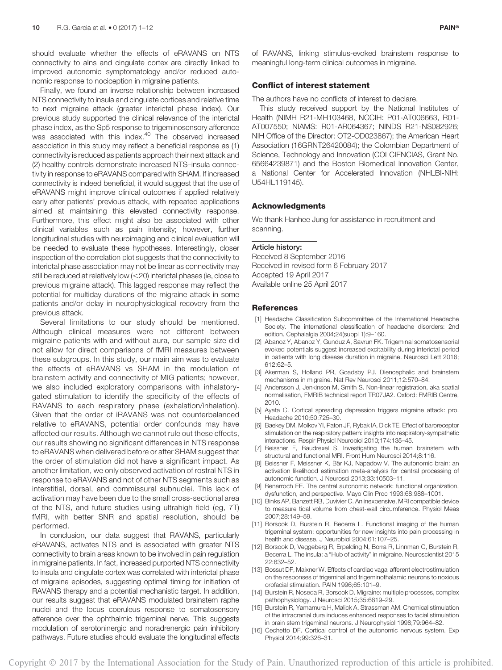should evaluate whether the effects of eRAVANS on NTS connectivity to aIns and cingulate cortex are directly linked to improved autonomic symptomatology and/or reduced autonomic response to nociception in migraine patients.

Finally, we found an inverse relationship between increased NTS connectivity to insula and cingulate cortices and relative time to next migraine attack (greater interictal phase index). Our previous study supported the clinical relevance of the interictal phase index, as the Sp5 response to trigeminosensory afference was associated with this index.<sup>40</sup> The observed increased association in this study may reflect a beneficial response as (1) connectivity is reduced as patients approach their next attack and (2) healthy controls demonstrate increased NTS–insula connectivity in response to eRAVANS compared with SHAM. If increased connectivity is indeed beneficial, it would suggest that the use of eRAVANS might improve clinical outcomes if applied relatively early after patients' previous attack, with repeated applications aimed at maintaining this elevated connectivity response. Furthermore, this effect might also be associated with other clinical variables such as pain intensity; however, further longitudinal studies with neuroimaging and clinical evaluation will be needed to evaluate these hypotheses. Interestingly, closer inspection of the correlation plot suggests that the connectivity to interictal phase association may not be linear as connectivity may still be reduced at relatively low  $(<$  20) interictal phases (ie, close to previous migraine attack). This lagged response may reflect the potential for multiday durations of the migraine attack in some patients and/or delay in neurophysiological recovery from the previous attack.

Several limitations to our study should be mentioned. Although clinical measures were not different between migraine patients with and without aura, our sample size did not allow for direct comparisons of fMRI measures between these subgroups. In this study, our main aim was to evaluate the effects of eRAVANS vs SHAM in the modulation of brainstem activity and connectivity of MIG patients; however, we also included exploratory comparisons with inhalatorygated stimulation to identify the specificity of the effects of RAVANS to each respiratory phase (exhalation/inhalation). Given that the order of iRAVANS was not counterbalanced relative to eRAVANS, potential order confounds may have affected our results. Although we cannot rule out these effects, our results showing no significant differences in NTS response to eRAVANS when delivered before or after SHAM suggest that the order of stimulation did not have a significant impact. As another limitation, we only observed activation of rostral NTS in response to eRAVANS and not of other NTS segments such as interstitial, dorsal, and commissural subnuclei. This lack of activation may have been due to the small cross-sectional area of the NTS, and future studies using ultrahigh field (eg, 7T) fMRI, with better SNR and spatial resolution, should be performed.

In conclusion, our data suggest that RAVANS, particularly eRAVANS, activates NTS and is associated with greater NTS connectivity to brain areas known to be involved in pain regulation in migraine patients. In fact, increased purported NTS connectivity to insula and cingulate cortex was correlated with interictal phase of migraine episodes, suggesting optimal timing for initiation of RAVANS therapy and a potential mechanistic target. In addition, our results suggest that eRAVANS modulated brainstem raphe nuclei and the locus coeruleus response to somatosensory afference over the ophthalmic trigeminal nerve. This suggests modulation of serotoninergic and noradrenergic pain inhibitory pathways. Future studies should evaluate the longitudinal effects

of RAVANS, linking stimulus-evoked brainstem response to meaningful long-term clinical outcomes in migraine.

#### Conflict of interest statement

The authors have no conflicts of interest to declare.

This study received support by the National Institutes of Health (NIMH R21-MH103468, NCCIH: P01-AT006663, R01- AT007550; NIAMS: R01-AR064367; NINDS R21-NS082926; NIH Office of the Director: OT2-OD023867); the American Heart Association (16GRNT26420084); the Colombian Department of Science, Technology and Innovation (COLCIENCIAS, Grant No. 65664239871) and the Boston Biomedical Innovation Center, a National Center for Accelerated Innovation (NHLBI-NIH: U54HL119145).

#### Acknowledgments

We thank Hanhee Jung for assistance in recruitment and scanning.

Article history: Received 8 September 2016 Received in revised form 6 February 2017 Accepted 19 April 2017 Available online 25 April 2017

#### References

- [1] Headache Classification Subcommittee of the International Headache Society. The international classification of headache disorders: 2nd edition. Cephalalgia 2004;24(suppl 1):9–160.
- [2] Abanoz Y, Abanoz Y, Gunduz A, Savrun FK. Trigeminal somatosensorial evoked potentials suggest increased excitability during interictal period in patients with long disease duration in migraine. Neurosci Lett 2016; 612:62–5.
- [3] Akerman S, Holland PR, Goadsby PJ. Diencephalic and brainstem mechanisms in migraine. Nat Rev Neurosci 2011;12:570–84.
- [4] Andersson J, Jenkinson M, Smith S. Non-linear registration, aka spatial normalisation, FMRIB technical report TR07JA2. Oxford: FMRIB Centre, 2010.
- [5] Ayata C. Cortical spreading depression triggers migraine attack: pro. Headache 2010;50:725–30.
- [6] Baekey DM, Molkov YI, Paton JF, Rybak IA, Dick TE. Effect of baroreceptor stimulation on the respiratory pattern: insights into respiratory-sympathetic interactions. Respir Physiol Neurobiol 2010;174:135–45.
- [7] Beissner F, Baudrexel S. Investigating the human brainstem with structural and functional MRI. Front Hum Neurosci 2014;8:116.
- [8] Beissner F, Meissner K, Bär KJ, Napadow V. The autonomic brain: an activation likelihood estimation meta-analysis for central processing of autonomic function. J Neurosci 2013;33:10503–11.
- [9] Benarroch EE. The central autonomic network: functional organization, dysfunction, and perspective. Mayo Clin Proc 1993;68:988–1001.
- [10] Binks AP, Banzett RB, Duvivier C. An inexpensive, MRI compatible device to measure tidal volume from chest-wall circumference. Physiol Meas 2007;28:149–59.
- [11] Borsook D, Burstein R, Becerra L. Functional imaging of the human trigeminal system: opportunities for new insights into pain processing in health and disease. J Neurobiol 2004;61:107–25.
- [12] Borsook D, Veggeberg R, Erpelding N, Borra R, Linnman C, Burstein R, Becerra L. The insula: a "Hub of activity" in migraine. Neuroscientist 2015 22:632–52.
- [13] Bossut DF, Maixner W. Effects of cardiac vagal afferent electrostimulation on the responses of trigeminal and trigeminothalamic neurons to noxious orofacial stimulation. PAIN 1996;65:101–9.
- [14] Burstein R, Noseda R, Borsook D. Migraine: multiple processes, complex pathophysiology. J Neurosci 2015;35:6619–29.
- [15] Burstein R, Yamamura H, Malick A, Strassman AM. Chemical stimulation of the intracranial dura induces enhanced responses to facial stimulation in brain stem trigeminal neurons. J Neurophysiol 1998;79:964–82.
- [16] Cechetto DF. Cortical control of the autonomic nervous system. Exp Physiol 2014;99:326–31.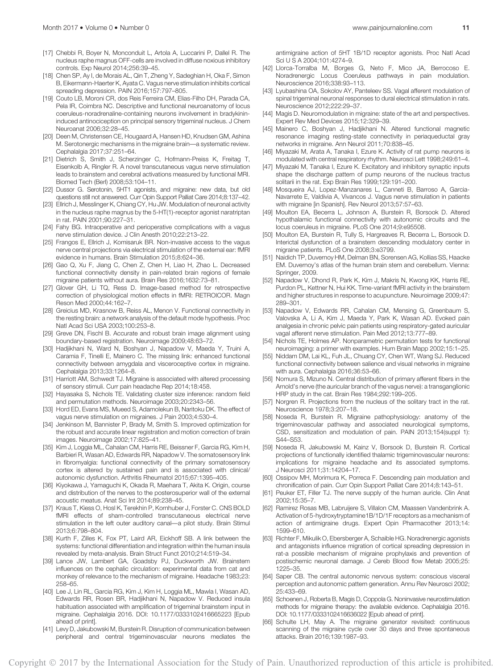- [17] Chebbi R, Boyer N, Monconduit L, Artola A, Luccarini P, Dallel R. The nucleus raphe magnus OFF-cells are involved in diffuse noxious inhibitory controls. Exp Neurol 2014;256:39–45.
- [18] Chen SP, Ay I, de Morais AL, Qin T, Zheng Y, Sadeghian H, Oka F, Simon B, Eikermann-Haerter K, Ayata C. Vagus nerve stimulation inhibits cortical spreading depression. PAIN 2016;157:797–805.
- [19] Couto LB, Moroni CR, dos Reis Ferreira CM, Elias-Filho DH, Parada CA, Pela IR, Coimbra NC. Descriptive and functional neuroanatomy of locus coeruleus-noradrenaline-containing neurons involvement in bradykinininduced antinociception on principal sensory trigeminal nucleus. J Chem Neuroanat 2006;32:28–45.
- [20] Deen M, Christensen CE, Hougaard A, Hansen HD, Knudsen GM, Ashina M. Serotonergic mechanisms in the migraine brain—a systematic review. Cephalalgia 2017;37:251–64.
- [21] Dietrich S, Smith J, Scherzinger C, Hofmann-Preiss K, Freitag T, Eisenkolb A, Ringler R. A novel transcutaneous vagus nerve stimulation leads to brainstem and cerebral activations measured by functional MRI. Biomed Tech (Berl) 2008;53:104–11.
- [22] Dussor G. Serotonin, 5HT1 agonists, and migraine: new data, but old questions still not answered. Curr Opin Support Palliat Care 2014;8:137–42.
- [23] Ellrich J, Messlinger K, Chiang CY, Hu JW. Modulation of neuronal activity in the nucleus raphe magnus by the 5-HT(1)-receptor agonist naratriptan in rat. PAIN 2001;90:227–31.
- [24] Fahy BG. Intraoperative and perioperative complications with a vagus nerve stimulation device. J Clin Anesth 2010;22:213–22.
- [25] Frangos E, Ellrich J, Komisaruk BR. Non-invasive access to the vagus nerve central projections via electrical stimulation of the external ear: fMRI evidence in humans. Brain Stimulation 2015;8:624–36.
- [26] Gao Q, Xu F, Jiang C, Chen Z, Chen H, Liao H, Zhao L. Decreased functional connectivity density in pain-related brain regions of female migraine patients without aura. Brain Res 2016;1632:73–81.
- [27] Glover GH, Li TQ, Ress D. Image-based method for retrospective correction of physiological motion effects in fMRI: RETROICOR. Magn Reson Med 2000;44:162–7.
- [28] Greicius MD, Krasnow B, Reiss AL, Menon V. Functional connectivity in the resting brain: a network analysis of the default mode hypothesis. Proc Natl Acad Sci USA 2003;100:253–8.
- [29] Greve DN, Fischl B. Accurate and robust brain image alignment using boundary-based registration. Neuroimage 2009;48:63–72.
- [30] Hadjikhani N, Ward N, Boshyan J, Napadow V, Maeda Y, Truini A, Caramia F, Tinelli E, Mainero C. The missing link: enhanced functional connectivity between amygdala and visceroceptive cortex in migraine. Cephalalgia 2013;33:1264–8.
- [31] Harriott AM, Schwedt TJ. Migraine is associated with altered processing of sensory stimuli. Curr pain headache Rep 2014;18:458.
- [32] Hayasaka S, Nichols TE. Validating cluster size inference: random field and permutation methods. Neuroimage 2003;20:2343–56.
- [33] Hord ED, Evans MS, Mueed S, Adamolekun B, Naritoku DK. The effect of vagus nerve stimulation on migraines. J Pain 2003;4:530–4.
- [34] Jenkinson M, Bannister P, Brady M, Smith S. Improved optimization for the robust and accurate linear registration and motion correction of brain images. Neuroimage 2002;17:825–41.
- [35] Kim J, Loggia ML, Cahalan CM, Harris RE, Beissner F, Garcia RG, Kim H, Barbieri R, Wasan AD, Edwards RR, Napadow V. The somatosensory link in fibromyalgia: functional connectivity of the primary somatosensory cortex is altered by sustained pain and is associated with clinical/ autonomic dysfunction. Arthritis Rheumatol 2015;67:1395–405.
- [36] Kiyokawa J, Yamaguchi K, Okada R, Maehara T, Akita K. Origin, course and distribution of the nerves to the posterosuperior wall of the external acoustic meatus. Anat Sci Int 2014;89:238–45.
- [37] Kraus T, Kiess O, Hosl K, Terekhin P, Kornhuber J, Forster C. CNS BOLD fMRI effects of sham-controlled transcutaneous electrical nerve stimulation in the left outer auditory canal—a pilot study. Brain Stimul 2013;6:798–804.
- [38] Kurth F, Zilles K, Fox PT, Laird AR, Eickhoff SB. A link between the systems: functional differentiation and integration within the human insula revealed by meta-analysis. Brain Struct Funct 2010;214:519–34.
- [39] Lance JW, Lambert GA, Goadsby PJ, Duckworth JW. Brainstem influences on the cephalic circulation: experimental data from cat and monkey of relevance to the mechanism of migraine. Headache 1983;23: 258–65.
- [40] Lee J, Lin RL, Garcia RG, Kim J, Kim H, Loggia ML, Mawla I, Wasan AD, Edwards RR, Rosen BR, Hadjikhani N, Napadow V. Reduced insula habituation associated with amplification of trigeminal brainstem input in migraine. Cephalalgia 2016. DOI: 10.1177/0333102416665223 [Epub ahead of print].
- [41] Levy D, Jakubowski M, Burstein R. Disruption of communication between peripheral and central trigeminovascular neurons mediates the

antimigraine action of 5HT 1B/1D receptor agonists. Proc Natl Acad Sci U S A 2004;101:4274–9.

- [42] Llorca-Torralba M, Borges G, Neto F, Mico JA, Berrocoso E. Noradrenergic Locus Coeruleus pathways in pain modulation. Neuroscience 2016;338:93–113.
- [43] Lyubashina OA, Sokolov AY, Panteleev SS. Vagal afferent modulation of spinal trigeminal neuronal responses to dural electrical stimulation in rats. Neuroscience 2012;222:29–37.
- [44] Magis D. Neuromodulation in migraine: state of the art and perspectives. Expert Rev Med Devices 2015;12:329–39.
- [45] Mainero C, Boshyan J, Hadjikhani N. Altered functional magnetic resonance imaging resting-state connectivity in periaqueductal gray networks in migraine. Ann Neurol 2011;70:838–45.
- [46] Miyazaki M, Arata A, Tanaka I, Ezure K. Activity of rat pump neurons is modulated with central respiratory rhythm. Neurosci Lett 1998;249:61–4.
- [47] Miyazaki M, Tanaka I, Ezure K. Excitatory and inhibitory synaptic inputs shape the discharge pattern of pump neurons of the nucleus tractus solitarii in the rat. Exp Brain Res 1999;129:191–200.
- [48] Mosqueira AJ, Lopez-Manzanares L, Canneti B, Barroso A, Garcia-Navarrete E, Valdivia A, Vivancos J. Vagus nerve stimulation in patients with migraine [in Spanish]. Rev Neurol 2013;57:57–63.
- [49] Moulton EA, Becerra L, Johnson A, Burstein R, Borsook D. Altered hypothalamic functional connectivity with autonomic circuits and the locus coeruleus in migraine. PLoS One 2014;9:e95508.
- [50] Moulton EA, Burstein R, Tully S, Hargreaves R, Becerra L, Borsook D. Interictal dysfunction of a brainstem descending modulatory center in migraine patients. PLoS One 2008;3:e3799.
- [51] Naidich TP, Duvernoy HM, Delman BN, Sorensen AG, Kollias SS, Haacke EM. Duvernoy's atlas of the human brain stem and cerebellum. Vienna: Springer, 2009.
- [52] Napadow V, Dhond R, Park K, Kim J, Makris N, Kwong KK, Harris RE, Purdon PL, Kettner N, Hui KK. Time-variant fMRI activity in the brainstem and higher structures in response to acupuncture. Neuroimage 2009;47: 289–301.
- [53] Napadow V, Edwards RR, Cahalan CM, Mensing G, Greenbaum S, Valovska A, Li A, Kim J, Maeda Y, Park K, Wasan AD. Evoked pain analgesia in chronic pelvic pain patients using respiratory-gated auricular vagal afferent nerve stimulation. Pain Med 2012;13:777–89.
- [54] Nichols TE, Holmes AP. Nonparametric permutation tests for functional neuroimaging: a primer with examples. Hum Brain Mapp 2002;15:1–25.
- [55] Niddam DM, Lai KL, Fuh JL, Chuang CY, Chen WT, Wang SJ. Reduced functional connectivity between salience and visual networks in migraine with aura. Cephalalgia 2016:36:53-66.
- [56] Nomura S, Mizuno N. Central distribution of primary afferent fibers in the Arnold's nerve (the auricular branch of the vagus nerve): a transganglionic HRP study in the cat. Brain Res 1984;292:199–205.
- [57] Norgren R. Projections from the nucleus of the solitary tract in the rat. Neuroscience 1978;3:207–18.
- [58] Noseda R, Burstein R. Migraine pathophysiology: anatomy of the trigeminovascular pathway and associated neurological symptoms, CSD, sensitization and modulation of pain. PAIN 2013;154(suppl 1): S44–S53.
- [59] Noseda R, Jakubowski M, Kainz V, Borsook D, Burstein R. Cortical projections of functionally identified thalamic trigeminovascular neurons: implications for migraine headache and its associated symptoms. J Neurosci 2011;31:14204–17.
- [60] Ossipov MH, Morimura K, Porreca F. Descending pain modulation and chronification of pain. Curr Opin Support Palliat Care 2014;8:143–51.
- [61] Peuker ET, Filler TJ. The nerve supply of the human auricle. Clin Anat 2002;15:35–7.
- [62] Ramirez Rosas MB, Labruijere S, Villalon CM, Maassen Vandenbrink A. Activation of 5-hydroxytryptamine1B/1D/1F receptors as a mechanism of action of antimigraine drugs. Expert Opin Pharmacother 2013;14: 1599–610.
- [63] Richter F, Mikulik O, Ebersberger A, Schaible HG. Noradrenergic agonists and antagonists influence migration of cortical spreading depression in rat-a possible mechanism of migraine prophylaxis and prevention of postischemic neuronal damage. J Cereb Blood flow Metab 2005;25: 1225–35.
- [64] Saper CB. The central autonomic nervous system: conscious visceral perception and autonomic pattern generation. Annu Rev Neurosci 2002; 25:433–69.
- [65] Schoenen J, Roberta B, Magis D, Coppola G. Noninvasive neurostimulation methods for migraine therapy: the available evidence. Cephalalgia 2016. DOI: 10.1177/0333102416636022 [Epub ahead of print].
- [66] Schulte LH, May A. The migraine generator revisited: continuous scanning of the migraine cycle over 30 days and three spontaneous attacks. Brain 2016;139:1987–93.